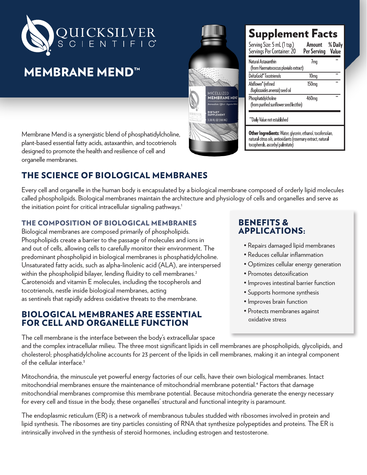

# **MEMBRANE MEND™**

Membrane Mend is a synergistic blend of phosphatidylcholine, plant-based essential fatty acids, astaxanthin, and tocotrienols designed to promote the health and resilience of cell and organelle membranes.

# THE SCIENCE OF BIOLOGICAL MEMBRANES

Every cell and organelle in the human body is encapsulated by a biological membrane composed of orderly lipid molecules called phospholipids. Biological membranes maintain the architecture and physiology of cells and organelles and serve as the initiation point for critical intracellular signaling pathways.<sup>1</sup>

#### THE COMPOSITION OF BIOLOGICAL MEMBRANES

Biological membranes are composed primarily of phospholipids. Phospholipids create a barrier to the passage of molecules and ions in and out of cells, allowing cells to carefully monitor their environment. The predominant phospholipid in biological membranes is phosphatidylcholine. Unsaturated fatty acids, such as alpha-linolenic acid (ALA), are interspersed within the phospholipid bilayer, lending fluidity to cell membranes.<sup>2</sup> Carotenoids and vitamin E molecules, including the tocopherols and tocotrienols, nestle inside biological membranes, acting as sentinels that rapidly address oxidative threats to the membrane.

### BIOLOGICAL MEMBRANES ARE ESSENTIAL FOR CELL AND ORGANELLE FUNCTION

## BENEFITS & APPLICATIONS:

- Repairs damaged lipid membranes
- Reduces cellular inflammation
- Optimizes cellular energy generation
- Promotes detoxification
- Improves intestinal barrier function
- Supports hormone synthesis
- Improves brain function
- Protects membranes against oxidative stress

The cell membrane is the interface between the body's extracellular space and the complex intracellular milieu. The three most significant lipids in cell membranes are phospholipids, glycolipids, and cholesterol; phosphatidylcholine accounts for 23 percent of the lipids in cell membranes, making it an integral component of the cellular interface.<sup>3</sup>

Mitochondria, the minuscule yet powerful energy factories of our cells, have their own biological membranes. Intact mitochondrial membranes ensure the maintenance of mitochondrial membrane potential.4 Factors that damage mitochondrial membranes compromise this membrane potential. Because mitochondria generate the energy necessary for every cell and tissue in the body, these organelles' structural and functional integrity is paramount.

The endoplasmic reticulum (ER) is a network of membranous tubules studded with ribosomes involved in protein and lipid synthesis. The ribosomes are tiny particles consisting of RNA that synthesize polypeptides and proteins. The ER is intrinsically involved in the synthesis of steroid hormones, including estrogen and testosterone.



# **Supplement Facts**

| Serving Size: 5 mL (1 tsp.)<br>Servings Per Container: 20                                                                  | Amount<br>Per Serving | % Daily<br>Value |
|----------------------------------------------------------------------------------------------------------------------------|-----------------------|------------------|
| Natural Astaxanthin<br>(from Haematococcus pluvialis extract)                                                              | 7 <sub>mq</sub>       |                  |
| DeltaGold®Tocotrienols                                                                                                     | 10mg                  | **               |
| Ahiflower" (refined<br>Buglossoides arvensis) seed oil                                                                     | 150 <sub>mg</sub>     | 44               |
| Phosphatidylcholine<br>(from purified sunflower seed lecithin)                                                             | 460 <sub>mq</sub>     | ÷÷               |
| **Daily Value not established                                                                                              |                       |                  |
| Other Ingredients: Water, glycerin, ethanol, tocofersolan,<br>natural citrus oils, antioxidants (rosemary extract, natural |                       |                  |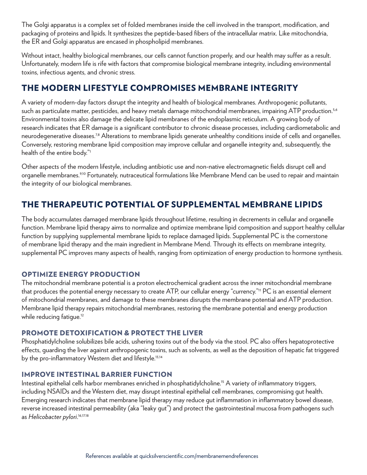The Golgi apparatus is a complex set of folded membranes inside the cell involved in the transport, modification, and packaging of proteins and lipids. It synthesizes the peptide-based fibers of the intracellular matrix. Like mitochondria, the ER and Golgi apparatus are encased in phospholipid membranes.

Without intact, healthy biological membranes, our cells cannot function properly, and our health may suffer as a result. Unfortunately, modern life is rife with factors that compromise biological membrane integrity, including environmental toxins, infectious agents, and chronic stress.

## THE MODERN LIFESTYLE COMPROMISES MEMBRANE INTEGRITY

A variety of modern-day factors disrupt the integrity and health of biological membranes. Anthropogenic pollutants, such as particulate matter, pesticides, and heavy metals damage mitochondrial membranes, impairing ATP production.<sup>5,6</sup> Environmental toxins also damage the delicate lipid membranes of the endoplasmic reticulum. A growing body of research indicates that ER damage is a significant contributor to chronic disease processes, including cardiometabolic and neurodegenerative diseases.<sup>7,8</sup> Alterations to membrane lipids generate unhealthy conditions inside of cells and organelles. Conversely, restoring membrane lipid composition may improve cellular and organelle integrity and, subsequently, the health of the entire body."1

Other aspects of the modern lifestyle, including antibiotic use and non-native electromagnetic fields disrupt cell and organelle membranes.<sup>9,10</sup> Fortunately, nutraceutical formulations like Membrane Mend can be used to repair and maintain the integrity of our biological membranes.

# THE THERAPEUTIC POTENTIAL OF SUPPLEMENTAL MEMBRANE LIPIDS

The body accumulates damaged membrane lipids throughout lifetime, resulting in decrements in cellular and organelle function. Membrane lipid therapy aims to normalize and optimize membrane lipid composition and support healthy cellular function by supplying supplemental membrane lipids to replace damaged lipids. Supplemental PC is the cornerstone of membrane lipid therapy and the main ingredient in Membrane Mend. Through its effects on membrane integrity, supplemental PC improves many aspects of health, ranging from optimization of energy production to hormone synthesis.

#### OPTIMIZE ENERGY PRODUCTION

The mitochondrial membrane potential is a proton electrochemical gradient across the inner mitochondrial membrane that produces the potential energy necessary to create ATP, our cellular energy "currency."11 PC is an essential element of mitochondrial membranes, and damage to these membranes disrupts the membrane potential and ATP production. Membrane lipid therapy repairs mitochondrial membranes, restoring the membrane potential and energy production while reducing fatique.<sup>12</sup>

#### PROMOTE DETOXIFICATION & PROTECT THE LIVER

Phosphatidylcholine solubilizes bile acids, ushering toxins out of the body via the stool. PC also offers hepatoprotective effects, guarding the liver against anthropogenic toxins, such as solvents, as well as the deposition of hepatic fat triggered by the pro-inflammatory Western diet and lifestyle.13,14

#### IMPROVE INTESTINAL BARRIER FUNCTION

Intestinal epithelial cells harbor membranes enriched in phosphatidylcholine.15 A variety of inflammatory triggers, including NSAIDs and the Western diet, may disrupt intestinal epithelial cell membranes, compromising gut health. Emerging research indicates that membrane lipid therapy may reduce gut inflammation in inflammatory bowel disease, reverse increased intestinal permeability (aka "leaky gut") and protect the gastrointestinal mucosa from pathogens such as *Helicobacter pylori*. 16,17.18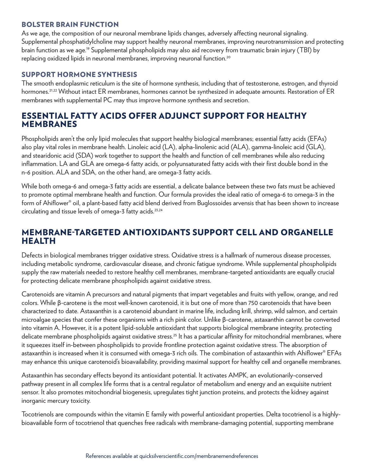#### BOLSTER BRAIN FUNCTION

As we age, the composition of our neuronal membrane lipids changes, adversely affecting neuronal signaling. Supplemental phosphatidylcholine may support healthy neuronal membranes, improving neurotransmission and protecting brain function as we age.19 Supplemental phospholipids may also aid recovery from traumatic brain injury (TBI) by replacing oxidized lipids in neuronal membranes, improving neuronal function.<sup>20</sup>

#### SUPPORT HORMONE SYNTHESIS

The smooth endoplasmic reticulum is the site of hormone synthesis, including that of testosterone, estrogen, and thyroid hormones.21,22 Without intact ER membranes, hormones cannot be synthesized in adequate amounts. Restoration of ER membranes with supplemental PC may thus improve hormone synthesis and secretion.

## ESSENTIAL FATTY ACIDS OFFER ADJUNCT SUPPORT FOR HEALTHY MEMBRANES

Phospholipids aren't the only lipid molecules that support healthy biological membranes; essential fatty acids (EFAs) also play vital roles in membrane health. Linoleic acid (LA), alpha-linolenic acid (ALA), gamma-linoleic acid (GLA), and stearidonic acid (SDA) work together to support the health and function of cell membranes while also reducing inflammation. LA and GLA are omega-6 fatty acids, or polyunsaturated fatty acids with their first double bond in the n-6 position. ALA and SDA, on the other hand, are omega-3 fatty acids.

While both omega-6 and omega-3 fatty acids are essential, a delicate balance between these two fats must be achieved to promote optimal membrane health and function. Our formula provides the ideal ratio of omega-6 to omega-3 in the form of Ahiflower® oil, a plant-based fatty acid blend derived from Buglossoides arvensis that has been shown to increase circulating and tissue levels of omega-3 fatty acids.23,24

### MEMBRANE-TARGETED ANTIOXIDANTS SUPPORT CELL AND ORGANELLE HEALTH

Defects in biological membranes trigger oxidative stress. Oxidative stress is a hallmark of numerous disease processes, including metabolic syndrome, cardiovascular disease, and chronic fatigue syndrome. While supplemental phospholipids supply the raw materials needed to restore healthy cell membranes, membrane-targeted antioxidants are equally crucial for protecting delicate membrane phospholipids against oxidative stress.

Carotenoids are vitamin A precursors and natural pigments that impart vegetables and fruits with yellow, orange, and red colors. While β-carotene is the most well-known carotenoid, it is but one of more than 750 carotenoids that have been characterized to date. Astaxanthin is a carotenoid abundant in marine life, including krill, shrimp, wild salmon, and certain microalgae species that confer these organisms with a rich pink color. Unlike β-carotene, astaxanthin cannot be converted into vitamin A. However, it is a potent lipid-soluble antioxidant that supports biological membrane integrity, protecting delicate membrane phospholipids against oxidative stress.<sup>25</sup> It has a particular affinity for mitochondrial membranes, where it squeezes itself in-between phospholipids to provide frontline protection against oxidative stress. The absorption of astaxanthin is increased when it is consumed with omega-3 rich oils. The combination of astaxanthin with Ahiflower® EFAs may enhance this unique carotenoid's bioavailability, providing maximal support for healthy cell and organelle membranes.

Astaxanthin has secondary effects beyond its antioxidant potential. It activates AMPK, an evolutionarily-conserved pathway present in all complex life forms that is a central regulator of metabolism and energy and an exquisite nutrient sensor. It also promotes mitochondrial biogenesis, upregulates tight junction proteins, and protects the kidney against inorganic mercury toxicity.

Tocotrienols are compounds within the vitamin E family with powerful antioxidant properties. Delta tocotrienol is a highlybioavailable form of tocotrienol that quenches free radicals with membrane-damaging potential, supporting membrane